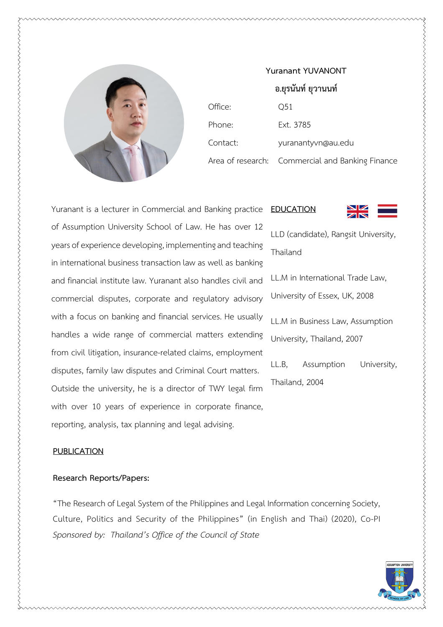

| ้อ.ยุรนั้นท์ ยุวานนท์ |                                                  |
|-----------------------|--------------------------------------------------|
| Office:               | Q51                                              |
| Phone:                | Ext. 3785                                        |
| Contact:              | yuranantyvn@au.edu                               |
|                       | Area of research: Commercial and Banking Finance |

**EDUCATION**

**Yuranant YUVANONT**

Yuranant is a lecturer in Commercial and Banking practice of Assumption University School of Law. He has over 12 years of experience developing, implementing and teaching in international business transaction law as well as banking and financial institute law. Yuranant also handles civil and commercial disputes, corporate and regulatory advisory with a focus on banking and financial services. He usually handles a wide range of commercial matters extending from civil litigation, insurance-related claims, employment disputes, family law disputes and Criminal Court matters. Outside the university, he is a director of TWY legal firm with over 10 years of experience in corporate finance, reporting, analysis, tax planning and legal advising.

## **PUBLICATION**

## **Research Reports/Papers:**

"The Research of Legal System of the Philippines and Legal Information concerning Society, Culture, Politics and Security of the Philippines" (in English and Thai) (2020), Co-PI *Sponsored by: Thailand's Office of the Council of State* 

LLD (candidate), Rangsit University, Thailand LL.M in International Trade Law, University of Essex, UK, 2008 LL.M in Business Law, Assumption University, Thailand, 2007 LL.B, Assumption University, Thailand, 2004